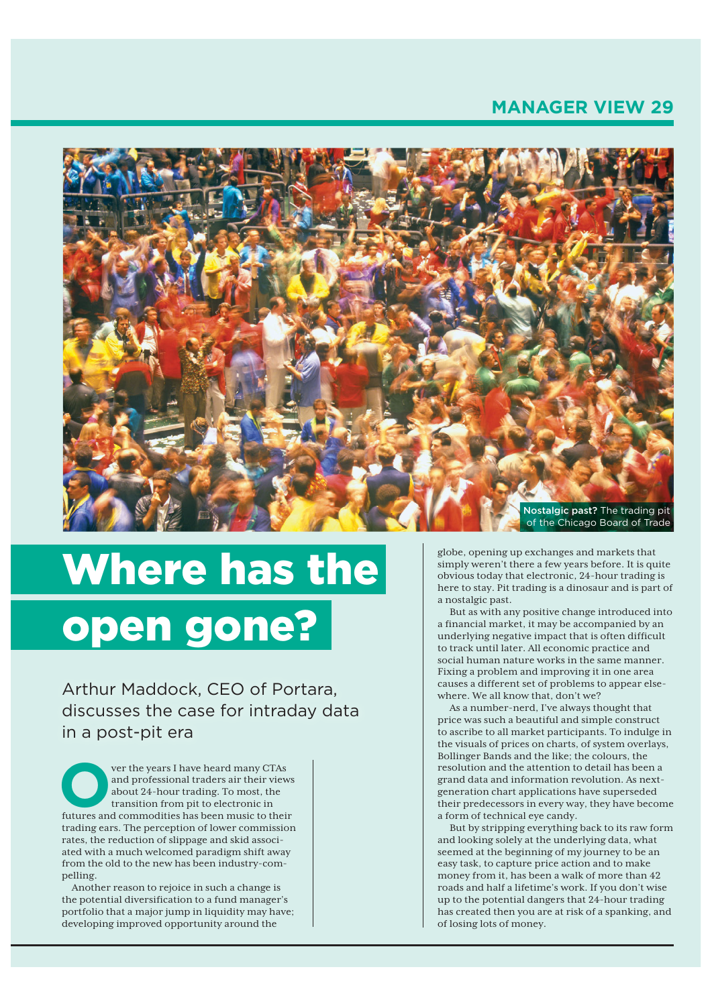## **MANAGER VIEW 29**



# Where has the open gone?

Arthur Maddock, CEO of Portara, discusses the case for intraday data in a post-pit era

ver the years I have heard many CTAs<br>
and professional traders air their view<br>
about 24-hour trading. To most, the<br>
transition from pit to electronic in<br>
futures and commodities has been music to their and professional traders air their views about 24-hour trading. To most, the transition from pit to electronic in futures and commodities has been music to their trading ears. The perception of lower commission rates, the reduction of slippage and skid associated with a much welcomed paradigm shift away from the old to the new has been industry-compelling.

Another reason to rejoice in such a change is the potential diversification to a fund manager's portfolio that a major jump in liquidity may have; developing improved opportunity around the

globe, opening up exchanges and markets that simply weren't there a few years before. It is quite obvious today that electronic, 24-hour trading is here to stay. Pit trading is a dinosaur and is part of a nostalgic past.

But as with any positive change introduced into a financial market, it may be accompanied by an underlying negative impact that is often difficult to track until later. All economic practice and social human nature works in the same manner. Fixing a problem and improving it in one area causes a different set of problems to appear elsewhere. We all know that, don't we?

As a number-nerd, I've always thought that price was such a beautiful and simple construct to ascribe to all market participants. To indulge in the visuals of prices on charts, of system overlays, Bollinger Bands and the like; the colours, the resolution and the attention to detail has been a grand data and information revolution. As nextgeneration chart applications have superseded their predecessors in every way, they have become a form of technical eye candy.

But by stripping everything back to its raw form and looking solely at the underlying data, what seemed at the beginning of my journey to be an easy task, to capture price action and to make money from it, has been a walk of more than 42 roads and half a lifetime's work. If you don't wise up to the potential dangers that 24-hour trading has created then you are at risk of a spanking, and of losing lots of money.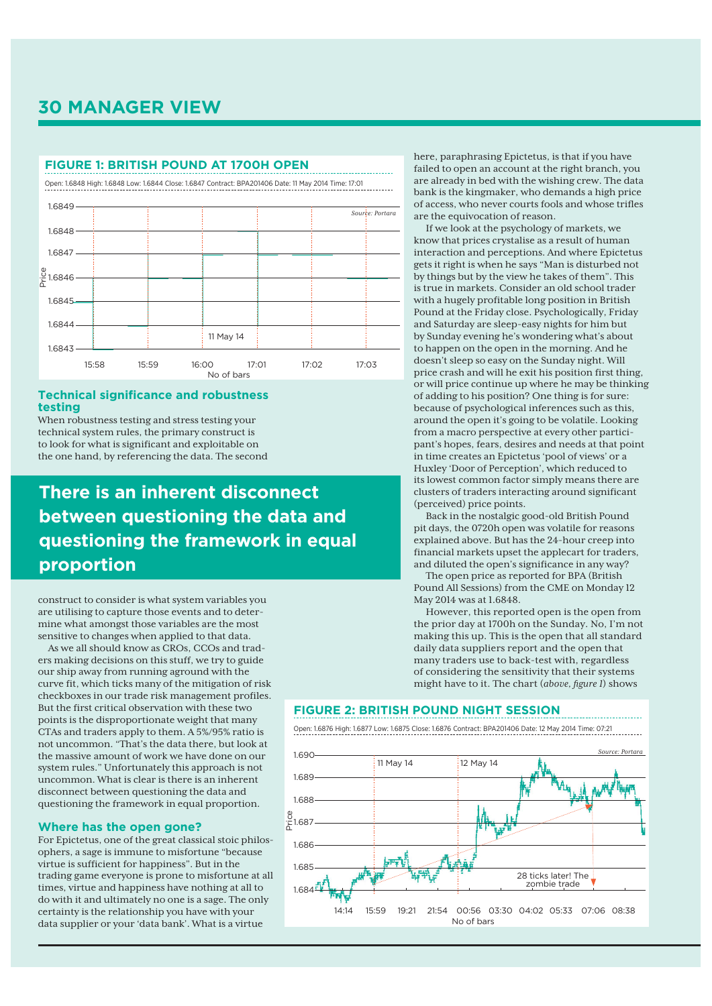## **30 MANAGER VIEW**

#### **FIGURE 1: BRITISH POUND AT 1700H OPEN**

Open: 1.6848 High: 1.6848 Low: 1.6844 Close: 1.6847 Contract: BPA201406 Date: 11 May 2014 Time: 17:01



#### **Technical significance and robustness testing**

When robustness testing and stress testing your technical system rules, the primary construct is to look for what is significant and exploitable on the one hand, by referencing the data. The second

# **There is an inherent disconnect between questioning the data and questioning the framework in equal proportion**

construct to consider is what system variables you are utilising to capture those events and to determine what amongst those variables are the most sensitive to changes when applied to that data.

As we all should know as CROs, CCOs and traders making decisions on this stuff, we try to guide our ship away from running aground with the curve fit, which ticks many of the mitigation of risk checkboxes in our trade risk management profiles. But the first critical observation with these two points is the disproportionate weight that many CTAs and traders apply to them. A 5%/95% ratio is not uncommon. "That's the data there, but look at the massive amount of work we have done on our system rules." Unfortunately this approach is not uncommon. What is clear is there is an inherent disconnect between questioning the data and questioning the framework in equal proportion.

#### **Where has the open gone?**

For Epictetus, one of the great classical stoic philosophers, a sage is immune to misfortune "because virtue is sufficient for happiness". But in the trading game everyone is prone to misfortune at all times, virtue and happiness have nothing at all to do with it and ultimately no one is a sage. The only certainty is the relationship you have with your data supplier or your 'data bank'. What is a virtue

here, paraphrasing Epictetus, is that if you have failed to open an account at the right branch, you are already in bed with the wishing crew. The data bank is the kingmaker, who demands a high price of access, who never courts fools and whose trifles are the equivocation of reason.

If we look at the psychology of markets, we know that prices crystalise as a result of human interaction and perceptions. And where Epictetus gets it right is when he says "Man is disturbed not by things but by the view he takes of them". This is true in markets. Consider an old school trader with a hugely profitable long position in British Pound at the Friday close. Psychologically, Friday and Saturday are sleep-easy nights for him but by Sunday evening he's wondering what's about to happen on the open in the morning. And he doesn't sleep so easy on the Sunday night. Will price crash and will he exit his position first thing, or will price continue up where he may be thinking of adding to his position? One thing is for sure: because of psychological inferences such as this, around the open it's going to be volatile. Looking from a macro perspective at every other participant's hopes, fears, desires and needs at that point in time creates an Epictetus 'pool of views' or a Huxley 'Door of Perception', which reduced to its lowest common factor simply means there are clusters of traders interacting around significant (perceived) price points.

Back in the nostalgic good-old British Pound pit days, the 0720h open was volatile for reasons explained above. But has the 24-hour creep into financial markets upset the applecart for traders, and diluted the open's significance in any way?

The open price as reported for BPA (British Pound All Sessions) from the CME on Monday 12 May 2014 was at 1.6848.

However, this reported open is the open from the prior day at 1700h on the Sunday. No, I'm not making this up. This is the open that all standard daily data suppliers report and the open that many traders use to back-test with, regardless of considering the sensitivity that their systems might have to it. The chart (*above*, *figure 1*) shows

#### **FIGURE 2: BRITISH POUND NIGHT SESSION**

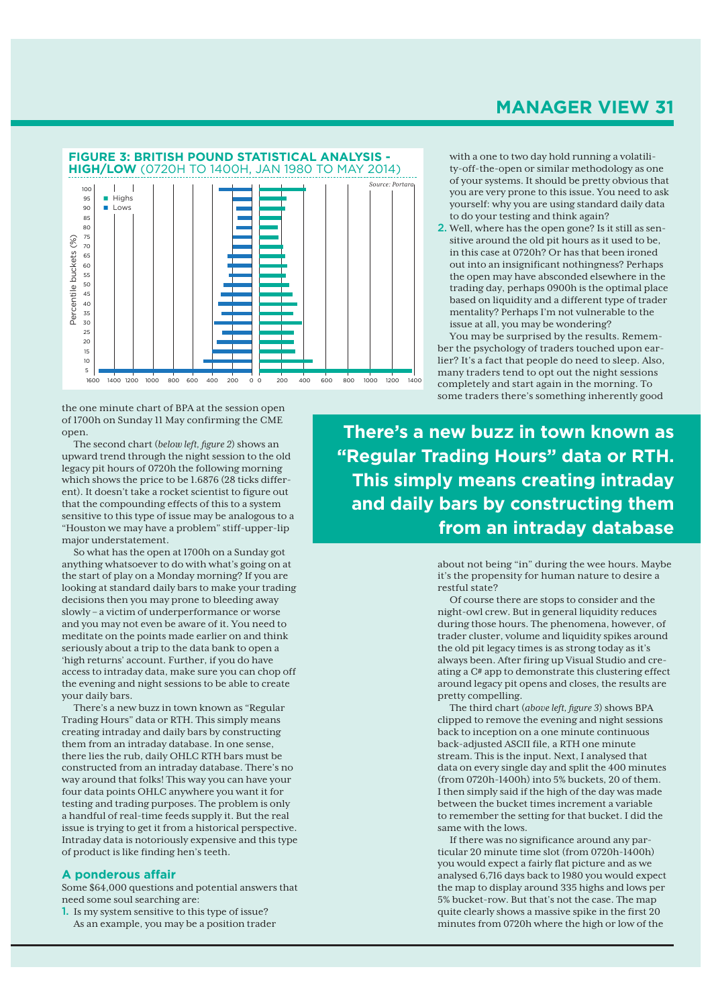

the one minute chart of BPA at the session open of 1700h on Sunday 11 May confirming the CME open.

The second chart (*below left, figure 2*) shows an upward trend through the night session to the old legacy pit hours of 0720h the following morning which shows the price to be 1.6876 (28 ticks different). It doesn't take a rocket scientist to figure out that the compounding effects of this to a system sensitive to this type of issue may be analogous to a "Houston we may have a problem" stiff-upper-lip major understatement.

So what has the open at 1700h on a Sunday got anything whatsoever to do with what's going on at the start of play on a Monday morning? If you are looking at standard daily bars to make your trading decisions then you may prone to bleeding away slowly – a victim of underperformance or worse and you may not even be aware of it. You need to meditate on the points made earlier on and think seriously about a trip to the data bank to open a 'high returns' account. Further, if you do have access to intraday data, make sure you can chop off the evening and night sessions to be able to create your daily bars.

There's a new buzz in town known as "Regular Trading Hours" data or RTH. This simply means creating intraday and daily bars by constructing them from an intraday database. In one sense, there lies the rub, daily OHLC RTH bars must be constructed from an intraday database. There's no way around that folks! This way you can have your four data points OHLC anywhere you want it for testing and trading purposes. The problem is only a handful of real-time feeds supply it. But the real issue is trying to get it from a historical perspective. Intraday data is notoriously expensive and this type of product is like finding hen's teeth.

#### **A ponderous affair**

Some \$64,000 questions and potential answers that need some soul searching are:

1. Is my system sensitive to this type of issue? As an example, you may be a position trader

## **MANAGER VIEW 31**

with a one to two day hold running a volatility-off-the-open or similar methodology as one of your systems. It should be pretty obvious that you are very prone to this issue. You need to ask yourself: why you are using standard daily data to do your testing and think again?

2. Well, where has the open gone? Is it still as sensitive around the old pit hours as it used to be, in this case at 0720h? Or has that been ironed out into an insignificant nothingness? Perhaps the open may have absconded elsewhere in the trading day, perhaps 0900h is the optimal place based on liquidity and a different type of trader mentality? Perhaps I'm not vulnerable to the issue at all, you may be wondering?

You may be surprised by the results. Remember the psychology of traders touched upon earlier? It's a fact that people do need to sleep. Also, many traders tend to opt out the night sessions completely and start again in the morning. To some traders there's something inherently good

**There's a new buzz in town known as "Regular Trading Hours" data or RTH. This simply means creating intraday and daily bars by constructing them from an intraday database**

> about not being "in" during the wee hours. Maybe it's the propensity for human nature to desire a restful state?

> Of course there are stops to consider and the night-owl crew. But in general liquidity reduces during those hours. The phenomena, however, of trader cluster, volume and liquidity spikes around the old pit legacy times is as strong today as it's always been. After firing up Visual Studio and creating a C# app to demonstrate this clustering effect around legacy pit opens and closes, the results are pretty compelling.

The third chart (*above left, figure 3*) shows BPA clipped to remove the evening and night sessions back to inception on a one minute continuous back-adjusted ASCII file, a RTH one minute stream. This is the input. Next, I analysed that data on every single day and split the 400 minutes (from 0720h-1400h) into 5% buckets, 20 of them. I then simply said if the high of the day was made between the bucket times increment a variable to remember the setting for that bucket. I did the same with the lows.

If there was no significance around any particular 20 minute time slot (from 0720h-1400h) you would expect a fairly flat picture and as we analysed 6,716 days back to 1980 you would expect the map to display around 335 highs and lows per 5% bucket-row. But that's not the case. The map quite clearly shows a massive spike in the first 20 minutes from 0720h where the high or low of the